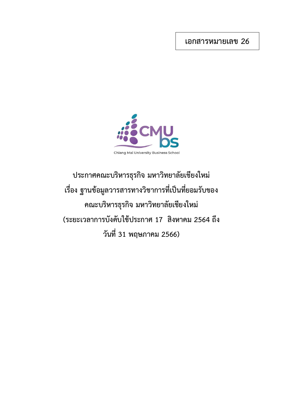**เอกสารหมายเลข 26**



**ประกาศคณะบริหารธุรกิจ มหาวิทยาลัยเชียงใหม่ เรื่อง ฐานข้อมูลวารสารทางวิชาการที่เป็นที่ยอมรับของ คณะบริหารธุรกิจ มหาวิทยาลัยเชียงใหม่ (ระยะเวลาการบังคับใช้ประกาศ 17 สิงหาคม 2564 ถึง วันที่ 31 พฤษภาคม 2566)**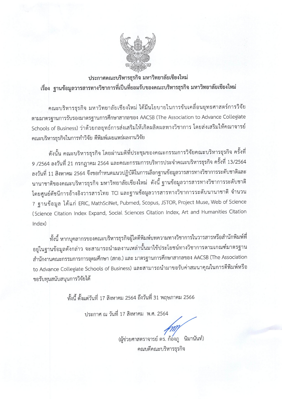

ประกาศคณะบริหารธุรกิจ มหาวิทยาลัยเชียงใหม่ เรื่อง ฐานข้อมูลวารสารทางวิชาการที่เป็นที่ยอมรับของคณะบริหารธุรกิจ มหาวิทยาลัยเชียงใหม่

คณะบริหารธุรกิจ มหาวิทยาลัยเชียงใหม่ ได้มีนโยบายในการขับเคลื่อนยุทธศาสตร์การวิจัย ตามมาตรฐานการรับรองมาตรฐานการศึกษาสากลของ AACSB (The Association to Advance Collegiate Schools of Business) ว่าด้วยกลยุทธ์การส่งเสริมให้เกิดผลิตผลทางวิชาการ โดยส่งเสริมให้คณาจารย์ คณะบริหารธุรกิจในการทำวิจัย ตีพิมพ์เผยแพร่ผลงานวิจัย

้ดังนั้น คณะบริหารธุรกิจ โดยผ่านมติที่ประชุมของคณะกรรมการวิจัยคณะบริหารธุรกิจ ครั้งที่ 9 /2564 ลงวันที่ 21 กรกฎาคม 2564 และคณะกรรมการบริหารประจำคณะบริหารธุรกิจ ครั้งที่ 13/2564 ลงวันที่ 11 สิงหาคม 2564 จึงขอกำหนดแนวปฏิบัติในการเลือกฐานข้อมูลวารสารทางวิชาการระดับชาติและ นานาชาติของคณะบริหารธุรกิจ มหาวิทยาลัยเชียงใหม่ ดังนี้ ฐานข้อมูลวารสารทางวิชาการระดับชาติ โดยศูนย์ดัชนีการอ้างอิงวารสารไทย TCI และฐานข้อมูลวารสารทางวิชาการระดับนานาชาติ จำนวน 7 ฐานข้อมูล ได้แก่ ERIC, MathSciNet, Pubmed, Scopus, JSTOR, Project Muse, Web of Science (Science Citation Index Expand, Social Sciences Citation Index, Art and Humanities Citation  $Index)$ 

ี่ทั้งนี้ หากบุคลากรของคณะบริหารธุรกิจผู้ใดตีพิมพ์บทความทางวิชาการในวารสารหรือสำนักพิมพ์ที่ อยู่ในฐานข้อมูลดังกล่าว จะสามารถนำผลงานเหล่านั้นมาใช้ประโยชน์ทางวิชาการตามเกณฑ์มาตรฐาน สำนักงานคณะกรรมการการอุดมศึกษา (สกอ.) และ มาตรฐานการศึกษาสากลของ AACSB (The Association to Advance Collegiate Schools of Business) และสามารถนำมาขอรับค่าสมนาคุณในการตีพิมพ์หรือ ขอรับทุนสนับสนุนการวิจัยได้

้ทั้งนี้ ตั้งแต่วันที่ 17 สิงหาคม 2564 ถึงวันที่ 31 พฤษภาคม 2566

ประกาศ ณ วันที่ 17 สิงหาคม พ.ศ. 2564

(ผู้ช่วยศาสตราจารย์ ดร. ก้องภู นิมานันท์) คณบดีคณะบริหารธุรกิจ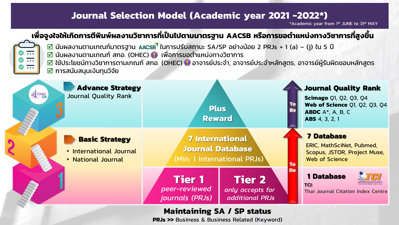## **Journal Selection Model (Academic year 2021 -2022\*)**

\*Academic year from 1<sup>st</sup> JUNE to 31st MAY

## **เพื่อจูงใจให้เกิดการตีพิมพ์ผลงานวิชาการที่เป็ นไปตามมาตรฐาน AACSB หรือการขอต าแหน่งทางวิชาการที่สูงขึ้น**



- $\overline{\Box}$  นับผลงานตามเกณฑ์มาตรฐาน AACSB ในการปรับสถานะ SA/SP อย่างน้อย 2 PRJs + 1 (a) (j) ใน 5 ปี
- $\overline{\boxtimes}$  นับผลงานตามเกณฑ์ สกอ. (OHEC)  $\bullet$  เพื่อการขอตำแหน่งทางวิชาการ
- $\overline{\mathsf{M}}$  ใช้ประโยชน์ทางวิชาการตามเกณฑ์ สกอ. (OHEC) ❤ อาจารย์ประจำ, อาจารย์ประจำหลักสูตร, อาจารย์ผู้รับผิดชอบหลักสูตร
- $\boxtimes$  การสนับสนุนเงินทุนวิจัย



## **Maintaining SA / SP status**

**PRJs >>** Business & Business Related (Keyword)